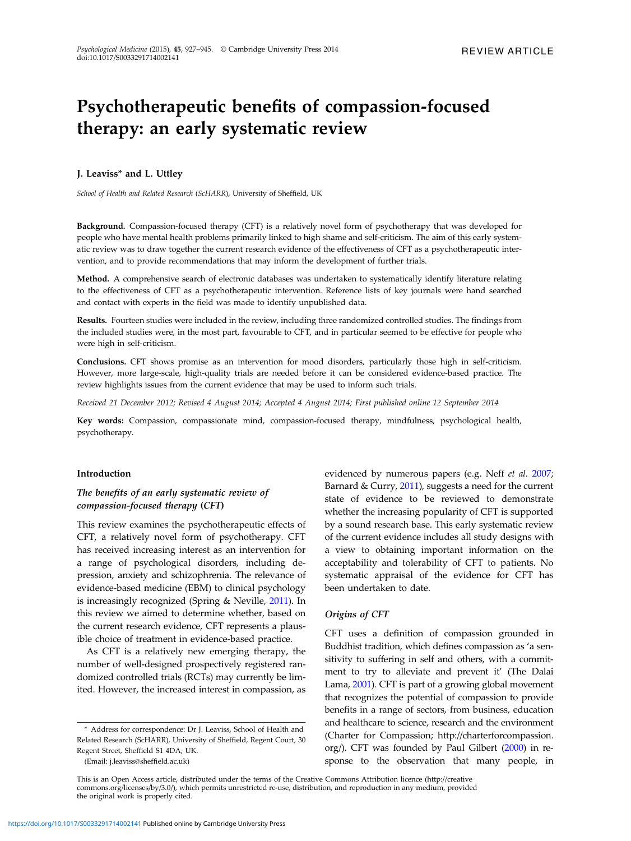# Psychotherapeutic benefits of compassion-focused therapy: an early systematic review

# J. Leaviss\* and L. Uttley

School of Health and Related Research (ScHARR), University of Sheffield, UK

Background. Compassion-focused therapy (CFT) is a relatively novel form of psychotherapy that was developed for people who have mental health problems primarily linked to high shame and self-criticism. The aim of this early systematic review was to draw together the current research evidence of the effectiveness of CFT as a psychotherapeutic intervention, and to provide recommendations that may inform the development of further trials.

Method. A comprehensive search of electronic databases was undertaken to systematically identify literature relating to the effectiveness of CFT as a psychotherapeutic intervention. Reference lists of key journals were hand searched and contact with experts in the field was made to identify unpublished data.

Results. Fourteen studies were included in the review, including three randomized controlled studies. The findings from the included studies were, in the most part, favourable to CFT, and in particular seemed to be effective for people who were high in self-criticism.

Conclusions. CFT shows promise as an intervention for mood disorders, particularly those high in self-criticism. However, more large-scale, high-quality trials are needed before it can be considered evidence-based practice. The review highlights issues from the current evidence that may be used to inform such trials.

Received 21 December 2012; Revised 4 August 2014; Accepted 4 August 2014; First published online 12 September 2014

Key words: Compassion, compassionate mind, compassion-focused therapy, mindfulness, psychological health, psychotherapy.

## Introduction

# The benefits of an early systematic review of compassion-focused therapy (CFT)

This review examines the psychotherapeutic effects of CFT, a relatively novel form of psychotherapy. CFT has received increasing interest as an intervention for a range of psychological disorders, including depression, anxiety and schizophrenia. The relevance of evidence-based medicine (EBM) to clinical psychology is increasingly recognized (Spring & Neville, [2011](#page-18-0)). In this review we aimed to determine whether, based on the current research evidence, CFT represents a plausible choice of treatment in evidence-based practice.

As CFT is a relatively new emerging therapy, the number of well-designed prospectively registered randomized controlled trials (RCTs) may currently be limited. However, the increased interest in compassion, as

(Email: j.leaviss@sheffield.ac.uk)

evidenced by numerous papers (e.g. Neff et al. [2007](#page-17-0); Barnard & Curry, [2011\)](#page-16-0), suggests a need for the current state of evidence to be reviewed to demonstrate whether the increasing popularity of CFT is supported by a sound research base. This early systematic review of the current evidence includes all study designs with a view to obtaining important information on the acceptability and tolerability of CFT to patients. No systematic appraisal of the evidence for CFT has been undertaken to date.

# Origins of CFT

CFT uses a definition of compassion grounded in Buddhist tradition, which defines compassion as 'a sensitivity to suffering in self and others, with a commitment to try to alleviate and prevent it' (The Dalai Lama, [2001\)](#page-18-0). CFT is part of a growing global movement that recognizes the potential of compassion to provide benefits in a range of sectors, from business, education and healthcare to science, research and the environment (Charter for Compassion; http://charterforcompassion. org/). CFT was founded by Paul Gilbert [\(2000](#page-16-0)) in response to the observation that many people, in

This is an Open Access article, distributed under the terms of the Creative Commons Attribution licence (http://creative commons.org/licenses/by/3.0/), which permits unrestricted re-use, distribution, and reproduction in any medium, provided the original work is properly cited.

<sup>\*</sup> Address for correspondence: Dr J. Leaviss, School of Health and Related Research (ScHARR), University of Sheffield, Regent Court, 30 Regent Street, Sheffield S1 4DA, UK.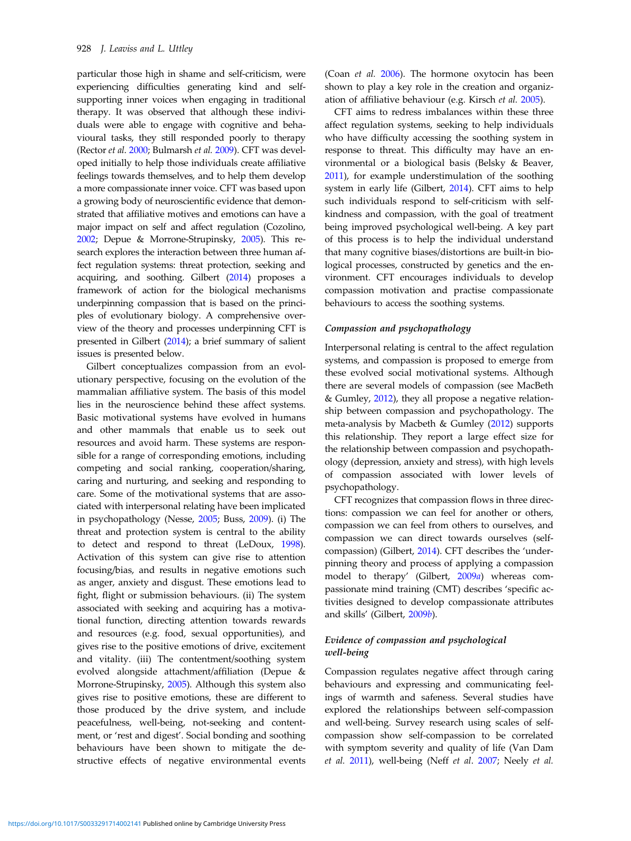particular those high in shame and self-criticism, were experiencing difficulties generating kind and selfsupporting inner voices when engaging in traditional therapy. It was observed that although these individuals were able to engage with cognitive and behavioural tasks, they still responded poorly to therapy (Rector et al. [2000;](#page-17-0) Bulmarsh et al. [2009\)](#page-16-0). CFT was developed initially to help those individuals create affiliative feelings towards themselves, and to help them develop a more compassionate inner voice. CFT was based upon a growing body of neuroscientific evidence that demonstrated that affiliative motives and emotions can have a major impact on self and affect regulation (Cozolino, [2002](#page-16-0); Depue & Morrone-Strupinsky, [2005\)](#page-16-0). This research explores the interaction between three human affect regulation systems: threat protection, seeking and acquiring, and soothing. Gilbert [\(2014](#page-17-0)) proposes a framework of action for the biological mechanisms underpinning compassion that is based on the principles of evolutionary biology. A comprehensive overview of the theory and processes underpinning CFT is presented in Gilbert ([2014](#page-17-0)); a brief summary of salient issues is presented below.

Gilbert conceptualizes compassion from an evolutionary perspective, focusing on the evolution of the mammalian affiliative system. The basis of this model lies in the neuroscience behind these affect systems. Basic motivational systems have evolved in humans and other mammals that enable us to seek out resources and avoid harm. These systems are responsible for a range of corresponding emotions, including competing and social ranking, cooperation/sharing, caring and nurturing, and seeking and responding to care. Some of the motivational systems that are associated with interpersonal relating have been implicated in psychopathology (Nesse, [2005](#page-17-0); Buss, [2009](#page-16-0)). (i) The threat and protection system is central to the ability to detect and respond to threat (LeDoux, [1998](#page-17-0)). Activation of this system can give rise to attention focusing/bias, and results in negative emotions such as anger, anxiety and disgust. These emotions lead to fight, flight or submission behaviours. (ii) The system associated with seeking and acquiring has a motivational function, directing attention towards rewards and resources (e.g. food, sexual opportunities), and gives rise to the positive emotions of drive, excitement and vitality. (iii) The contentment/soothing system evolved alongside attachment/affiliation (Depue & Morrone-Strupinsky, [2005](#page-16-0)). Although this system also gives rise to positive emotions, these are different to those produced by the drive system, and include peacefulness, well-being, not-seeking and contentment, or 'rest and digest'. Social bonding and soothing behaviours have been shown to mitigate the destructive effects of negative environmental events (Coan et al. [2006\)](#page-16-0). The hormone oxytocin has been shown to play a key role in the creation and organization of affiliative behaviour (e.g. Kirsch et al. [2005\)](#page-17-0).

CFT aims to redress imbalances within these three affect regulation systems, seeking to help individuals who have difficulty accessing the soothing system in response to threat. This difficulty may have an environmental or a biological basis (Belsky & Beaver, [2011\)](#page-16-0), for example understimulation of the soothing system in early life (Gilbert, [2014](#page-17-0)). CFT aims to help such individuals respond to self-criticism with selfkindness and compassion, with the goal of treatment being improved psychological well-being. A key part of this process is to help the individual understand that many cognitive biases/distortions are built-in biological processes, constructed by genetics and the environment. CFT encourages individuals to develop compassion motivation and practise compassionate behaviours to access the soothing systems.

## Compassion and psychopathology

Interpersonal relating is central to the affect regulation systems, and compassion is proposed to emerge from these evolved social motivational systems. Although there are several models of compassion (see MacBeth & Gumley, [2012](#page-17-0)), they all propose a negative relationship between compassion and psychopathology. The meta-analysis by Macbeth & Gumley ([2012](#page-17-0)) supports this relationship. They report a large effect size for the relationship between compassion and psychopathology (depression, anxiety and stress), with high levels of compassion associated with lower levels of psychopathology.

CFT recognizes that compassion flows in three directions: compassion we can feel for another or others, compassion we can feel from others to ourselves, and compassion we can direct towards ourselves (selfcompassion) (Gilbert, [2014](#page-17-0)). CFT describes the 'underpinning theory and process of applying a compassion model to therapy' (Gilbert, [2009](#page-16-0)a) whereas compassionate mind training (CMT) describes 'specific activities designed to develop compassionate attributes and skills' (Gilbert, [2009](#page-17-0)b).

## Evidence of compassion and psychological well-being

Compassion regulates negative affect through caring behaviours and expressing and communicating feelings of warmth and safeness. Several studies have explored the relationships between self-compassion and well-being. Survey research using scales of selfcompassion show self-compassion to be correlated with symptom severity and quality of life (Van Dam et al. [2011](#page-18-0)), well-being (Neff et al. [2007](#page-17-0); Neely et al.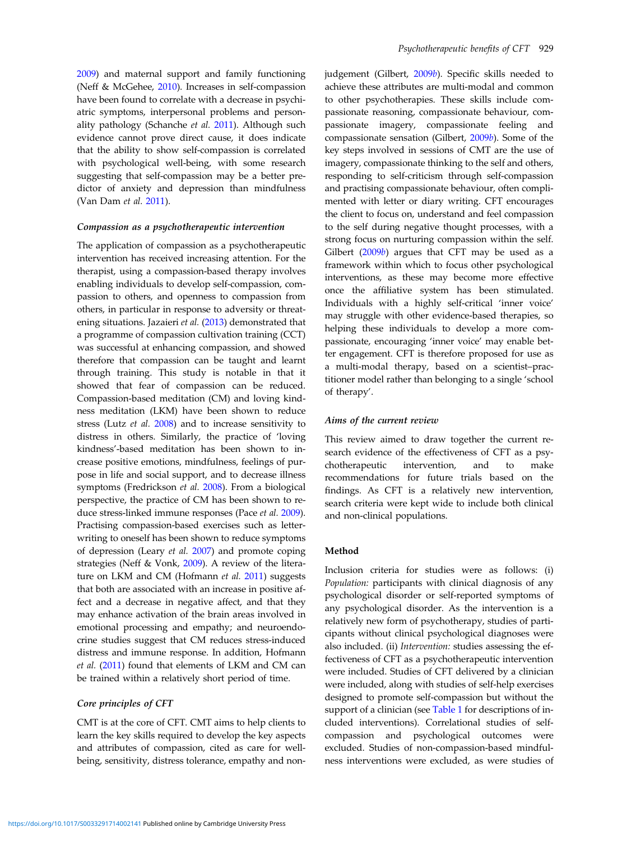[2009\)](#page-17-0) and maternal support and family functioning (Neff & McGehee, [2010](#page-17-0)). Increases in self-compassion have been found to correlate with a decrease in psychiatric symptoms, interpersonal problems and personality pathology (Schanche et al. [2011](#page-18-0)). Although such evidence cannot prove direct cause, it does indicate that the ability to show self-compassion is correlated with psychological well-being, with some research suggesting that self-compassion may be a better predictor of anxiety and depression than mindfulness (Van Dam et al. [2011\)](#page-18-0).

### Compassion as a psychotherapeutic intervention

The application of compassion as a psychotherapeutic intervention has received increasing attention. For the therapist, using a compassion-based therapy involves enabling individuals to develop self-compassion, compassion to others, and openness to compassion from others, in particular in response to adversity or threat-ening situations. Jazaieri et al. [\(2013](#page-17-0)) demonstrated that a programme of compassion cultivation training (CCT) was successful at enhancing compassion, and showed therefore that compassion can be taught and learnt through training. This study is notable in that it showed that fear of compassion can be reduced. Compassion-based meditation (CM) and loving kindness meditation (LKM) have been shown to reduce stress (Lutz et al. [2008\)](#page-17-0) and to increase sensitivity to distress in others. Similarly, the practice of 'loving kindness'-based meditation has been shown to increase positive emotions, mindfulness, feelings of purpose in life and social support, and to decrease illness symptoms (Fredrickson et al. [2008\)](#page-16-0). From a biological perspective, the practice of CM has been shown to reduce stress-linked immune responses (Pace et al. [2009](#page-17-0)). Practising compassion-based exercises such as letterwriting to oneself has been shown to reduce symptoms of depression (Leary et al. [2007\)](#page-17-0) and promote coping strategies (Neff & Vonk, [2009](#page-17-0)). A review of the litera-ture on LKM and CM (Hofmann et al. [2011\)](#page-17-0) suggests that both are associated with an increase in positive affect and a decrease in negative affect, and that they may enhance activation of the brain areas involved in emotional processing and empathy; and neuroendocrine studies suggest that CM reduces stress-induced distress and immune response. In addition, Hofmann et al. ([2011\)](#page-17-0) found that elements of LKM and CM can be trained within a relatively short period of time.

## Core principles of CFT

CMT is at the core of CFT. CMT aims to help clients to learn the key skills required to develop the key aspects and attributes of compassion, cited as care for wellbeing, sensitivity, distress tolerance, empathy and nonjudgement (Gilbert, [2009](#page-17-0)b). Specific skills needed to achieve these attributes are multi-modal and common to other psychotherapies. These skills include compassionate reasoning, compassionate behaviour, compassionate imagery, compassionate feeling and compassionate sensation (Gilbert, [2009](#page-17-0)b). Some of the key steps involved in sessions of CMT are the use of imagery, compassionate thinking to the self and others, responding to self-criticism through self-compassion and practising compassionate behaviour, often complimented with letter or diary writing. CFT encourages the client to focus on, understand and feel compassion to the self during negative thought processes, with a strong focus on nurturing compassion within the self. Gilbert [\(2009](#page-17-0)b) argues that CFT may be used as a framework within which to focus other psychological interventions, as these may become more effective once the affiliative system has been stimulated. Individuals with a highly self-critical 'inner voice' may struggle with other evidence-based therapies, so helping these individuals to develop a more compassionate, encouraging 'inner voice' may enable better engagement. CFT is therefore proposed for use as a multi-modal therapy, based on a scientist–practitioner model rather than belonging to a single 'school of therapy'.

#### Aims of the current review

This review aimed to draw together the current research evidence of the effectiveness of CFT as a psychotherapeutic intervention, and to make recommendations for future trials based on the findings. As CFT is a relatively new intervention, search criteria were kept wide to include both clinical and non-clinical populations.

#### Method

Inclusion criteria for studies were as follows: (i) Population: participants with clinical diagnosis of any psychological disorder or self-reported symptoms of any psychological disorder. As the intervention is a relatively new form of psychotherapy, studies of participants without clinical psychological diagnoses were also included. (ii) Intervention: studies assessing the effectiveness of CFT as a psychotherapeutic intervention were included. Studies of CFT delivered by a clinician were included, along with studies of self-help exercises designed to promote self-compassion but without the support of a clinician (see [Table 1](#page-3-0) for descriptions of included interventions). Correlational studies of selfcompassion and psychological outcomes were excluded. Studies of non-compassion-based mindfulness interventions were excluded, as were studies of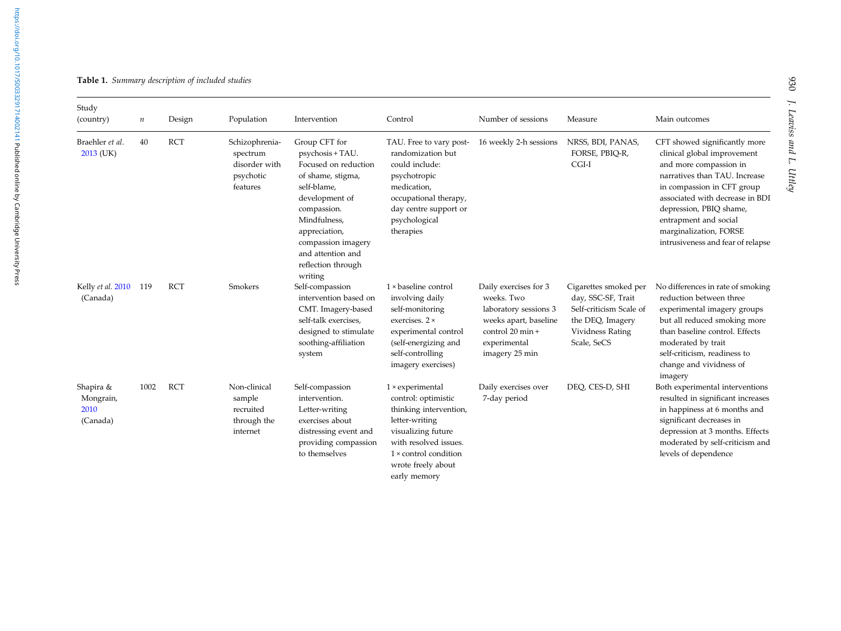#### <span id="page-3-0"></span>**Table 1.** Summary description of included studies

| Study<br>(country)                         | $\,n$ | Design     | Population                                                           | Intervention                                                                                                                                                                                                                                | Control                                                                                                                                                                                                         | Number of sessions                                                                                                                          | Measure                                                                                                                       | Main outcomes                                                                                                                                                                                                                                                                                               |
|--------------------------------------------|-------|------------|----------------------------------------------------------------------|---------------------------------------------------------------------------------------------------------------------------------------------------------------------------------------------------------------------------------------------|-----------------------------------------------------------------------------------------------------------------------------------------------------------------------------------------------------------------|---------------------------------------------------------------------------------------------------------------------------------------------|-------------------------------------------------------------------------------------------------------------------------------|-------------------------------------------------------------------------------------------------------------------------------------------------------------------------------------------------------------------------------------------------------------------------------------------------------------|
| Braehler et al.<br>2013 (UK)               | 40    | <b>RCT</b> | Schizophrenia-<br>spectrum<br>disorder with<br>psychotic<br>features | Group CFT for<br>psychosis + TAU.<br>Focused on reduction<br>of shame, stigma,<br>self-blame,<br>development of<br>compassion.<br>Mindfulness,<br>appreciation,<br>compassion imagery<br>and attention and<br>reflection through<br>writing | TAU. Free to vary post-<br>randomization but<br>could include:<br>psychotropic<br>medication,<br>occupational therapy,<br>day centre support or<br>psychological<br>therapies                                   | 16 weekly 2-h sessions                                                                                                                      | NRSS, BDI, PANAS,<br>FORSE, PBIQ-R,<br>$CGI-I$                                                                                | CFT showed significantly more<br>clinical global improvement<br>and more compassion in<br>narratives than TAU. Increase<br>in compassion in CFT group<br>associated with decrease in BDI<br>depression, PBIQ shame,<br>entrapment and social<br>marginalization, FORSE<br>intrusiveness and fear of relapse |
| Kelly et al. 2010<br>(Canada)              | 119   | <b>RCT</b> | Smokers                                                              | Self-compassion<br>intervention based on<br>CMT. Imagery-based<br>self-talk exercises.<br>designed to stimulate<br>soothing-affiliation<br>system                                                                                           | $1 \times$ baseline control<br>involving daily<br>self-monitoring<br>exercises. $2 \times$<br>experimental control<br>(self-energizing and<br>self-controlling<br>imagery exercises)                            | Daily exercises for 3<br>weeks. Two<br>laboratory sessions 3<br>weeks apart, baseline<br>control 20 min +<br>experimental<br>imagery 25 min | Cigarettes smoked per<br>day, SSC-SF, Trait<br>Self-criticism Scale of<br>the DEQ, Imagery<br>Vividness Rating<br>Scale, SeCS | No differences in rate of smoking<br>reduction between three<br>experimental imagery groups<br>but all reduced smoking more<br>than baseline control. Effects<br>moderated by trait<br>self-criticism, readiness to<br>change and vividness of<br>imagery                                                   |
| Shapira &<br>Mongrain,<br>2010<br>(Canada) | 1002  | <b>RCT</b> | Non-clinical<br>sample<br>recruited<br>through the<br>internet       | Self-compassion<br>intervention.<br>Letter-writing<br>exercises about<br>distressing event and<br>providing compassion<br>to themselves                                                                                                     | $1 \times$ experimental<br>control: optimistic<br>thinking intervention,<br>letter-writing<br>visualizing future<br>with resolved issues.<br>$1 \times$ control condition<br>wrote freely about<br>early memory | Daily exercises over<br>7-day period                                                                                                        | DEQ, CES-D, SHI                                                                                                               | Both experimental interventions<br>resulted in significant increases<br>in happiness at 6 months and<br>significant decreases in<br>depression at 3 months. Effects<br>moderated by self-criticism and<br>levels of dependence                                                                              |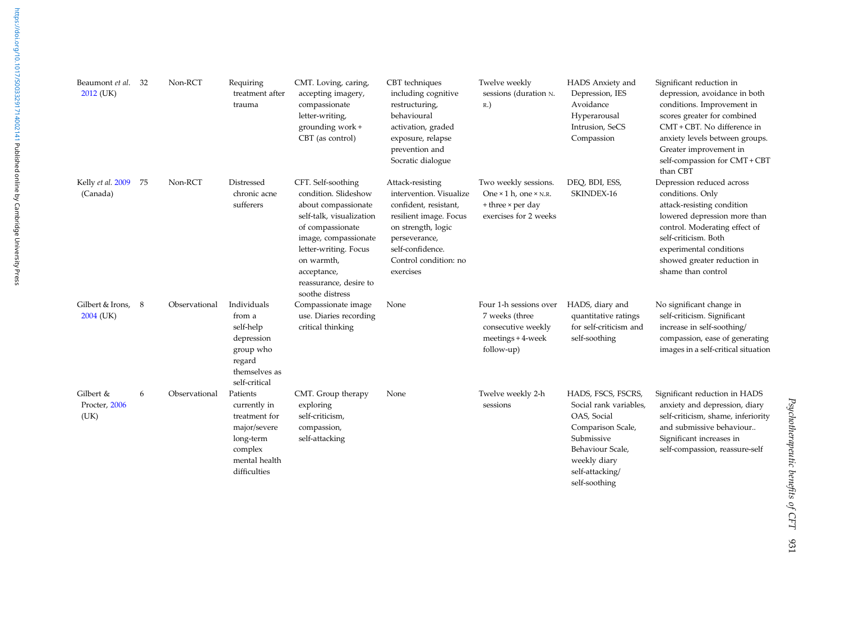| Beaumont et al.<br>2012 (UK)       | 32 | Non-RCT       | Requiring<br>treatment after<br>trauma                                                                             | CMT. Loving, caring,<br>accepting imagery,<br>compassionate<br>letter-writing,<br>grounding work +<br>CBT (as control)                                                                                                                       | CBT techniques<br>including cognitive<br>restructuring,<br>behavioural<br>activation, graded<br>exposure, relapse<br>prevention and<br>Socratic dialogue                                        | Twelve weekly<br>sessions (duration N.<br>R.)                                                             | HADS Anxiety and<br>Depression, IES<br>Avoidance<br>Hyperarousal<br>Intrusion, SeCS<br>Compassion                                                                      | Significant reduction in<br>depression, avoidance in both<br>conditions. Improvement in<br>scores greater for combined<br>CMT + CBT. No difference in<br>anxiety levels between groups.<br>Greater improvement in<br>self-compassion for CMT + CBT<br>than CBT |
|------------------------------------|----|---------------|--------------------------------------------------------------------------------------------------------------------|----------------------------------------------------------------------------------------------------------------------------------------------------------------------------------------------------------------------------------------------|-------------------------------------------------------------------------------------------------------------------------------------------------------------------------------------------------|-----------------------------------------------------------------------------------------------------------|------------------------------------------------------------------------------------------------------------------------------------------------------------------------|----------------------------------------------------------------------------------------------------------------------------------------------------------------------------------------------------------------------------------------------------------------|
| Kelly et al. 2009<br>(Canada)      | 75 | Non-RCT       | Distressed<br>chronic acne<br>sufferers                                                                            | CFT. Self-soothing<br>condition. Slideshow<br>about compassionate<br>self-talk, visualization<br>of compassionate<br>image, compassionate<br>letter-writing. Focus<br>on warmth,<br>acceptance,<br>reassurance, desire to<br>soothe distress | Attack-resisting<br>intervention. Visualize<br>confident, resistant,<br>resilient image. Focus<br>on strength, logic<br>perseverance,<br>self-confidence.<br>Control condition: no<br>exercises | Two weekly sessions.<br>One $\times$ 1 h, one $\times$ N.R.<br>+ three × per day<br>exercises for 2 weeks | DEQ, BDI, ESS,<br>SKINDEX-16                                                                                                                                           | Depression reduced across<br>conditions. Only<br>attack-resisting condition<br>lowered depression more than<br>control. Moderating effect of<br>self-criticism. Both<br>experimental conditions<br>showed greater reduction in<br>shame than control           |
| Gilbert & Irons,<br>$2004$ (UK)    | 8  | Observational | Individuals<br>from a<br>self-help<br>depression<br>group who<br>regard<br>themselves as<br>self-critical          | Compassionate image<br>use. Diaries recording<br>critical thinking                                                                                                                                                                           | None                                                                                                                                                                                            | Four 1-h sessions over<br>7 weeks (three<br>consecutive weekly<br>meetings + 4-week<br>follow-up)         | HADS, diary and<br>quantitative ratings<br>for self-criticism and<br>self-soothing                                                                                     | No significant change in<br>self-criticism. Significant<br>increase in self-soothing/<br>compassion, ease of generating<br>images in a self-critical situation                                                                                                 |
| Gilbert &<br>Procter, 2006<br>(UK) | 6  | Observational | Patients<br>currently in<br>treatment for<br>major/severe<br>long-term<br>complex<br>mental health<br>difficulties | CMT. Group therapy<br>exploring<br>self-criticism,<br>compassion,<br>self-attacking                                                                                                                                                          | None                                                                                                                                                                                            | Twelve weekly 2-h<br>sessions                                                                             | HADS, FSCS, FSCRS,<br>Social rank variables,<br>OAS, Social<br>Comparison Scale,<br>Submissive<br>Behaviour Scale,<br>weekly diary<br>self-attacking/<br>self-soothing | Significant reduction in HADS<br>anxiety and depression, diary<br>self-criticism, shame, inferiority<br>and submissive behaviour<br>Significant increases in<br>self-compassion, reassure-self                                                                 |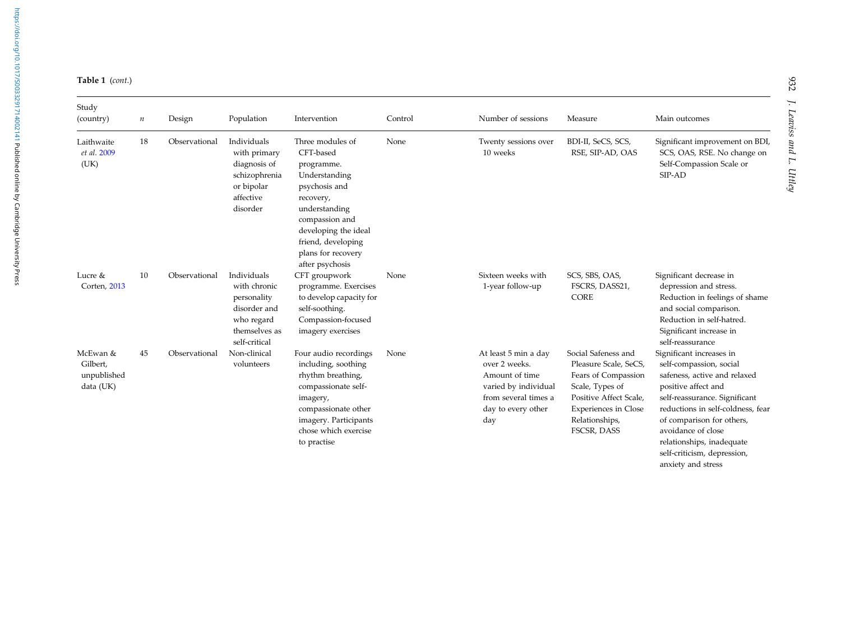| Table 1 (cont.) |  |
|-----------------|--|
|-----------------|--|

| Study<br>(country)                               | $\,n$ | Design        | Population                                                                                                 | Intervention                                                                                                                                                                                                         | Control | Number of sessions                                                                                                                   | Measure                                                                                                                                                                          | Main outcomes                                                                                                                                                                                                                                                                                   |
|--------------------------------------------------|-------|---------------|------------------------------------------------------------------------------------------------------------|----------------------------------------------------------------------------------------------------------------------------------------------------------------------------------------------------------------------|---------|--------------------------------------------------------------------------------------------------------------------------------------|----------------------------------------------------------------------------------------------------------------------------------------------------------------------------------|-------------------------------------------------------------------------------------------------------------------------------------------------------------------------------------------------------------------------------------------------------------------------------------------------|
| Laithwaite<br>et al. 2009<br>(UK)                | 18    | Observational | Individuals<br>with primary<br>diagnosis of<br>schizophrenia<br>or bipolar<br>affective<br>disorder        | Three modules of<br>CFT-based<br>programme.<br>Understanding<br>psychosis and<br>recovery,<br>understanding<br>compassion and<br>developing the ideal<br>friend, developing<br>plans for recovery<br>after psychosis | None    | Twenty sessions over<br>10 weeks                                                                                                     | BDI-II, SeCS, SCS,<br>RSE, SIP-AD, OAS                                                                                                                                           | Significant improvement on BDI,<br>SCS, OAS, RSE. No change on<br>Self-Compassion Scale or<br>$SIP-AD$                                                                                                                                                                                          |
| Lucre &<br>Corten, 2013                          | 10    | Observational | Individuals<br>with chronic<br>personality<br>disorder and<br>who regard<br>themselves as<br>self-critical | CFT groupwork<br>programme. Exercises<br>to develop capacity for<br>self-soothing.<br>Compassion-focused<br>imagery exercises                                                                                        | None    | Sixteen weeks with<br>1-year follow-up                                                                                               | SCS, SBS, OAS,<br>FSCRS, DASS21,<br><b>CORE</b>                                                                                                                                  | Significant decrease in<br>depression and stress.<br>Reduction in feelings of shame<br>and social comparison.<br>Reduction in self-hatred.<br>Significant increase in<br>self-reassurance                                                                                                       |
| McEwan &<br>Gilbert,<br>unpublished<br>data (UK) | 45    | Observational | Non-clinical<br>volunteers                                                                                 | Four audio recordings<br>including, soothing<br>rhythm breathing,<br>compassionate self-<br>imagery,<br>compassionate other<br>imagery. Participants<br>chose which exercise<br>to practise                          | None    | At least 5 min a day<br>over 2 weeks.<br>Amount of time<br>varied by individual<br>from several times a<br>day to every other<br>day | Social Safeness and<br>Pleasure Scale, SeCS,<br>Fears of Compassion<br>Scale, Types of<br>Positive Affect Scale,<br><b>Experiences</b> in Close<br>Relationships,<br>FSCSR, DASS | Significant increases in<br>self-compassion, social<br>safeness, active and relaxed<br>positive affect and<br>self-reassurance. Significant<br>reductions in self-coldness, fear<br>of comparison for others,<br>avoidance of close<br>relationships, inadequate<br>self-criticism, depression, |

anxiety and stress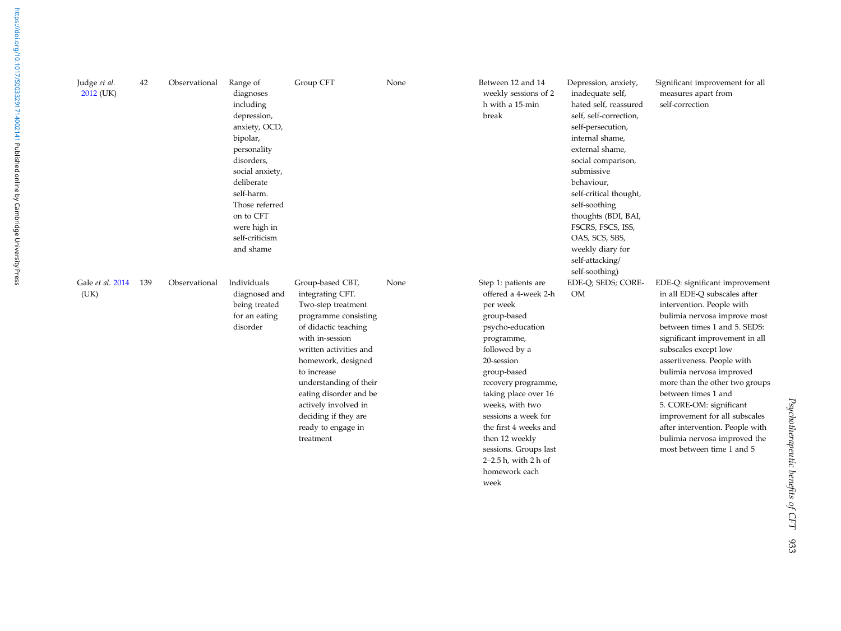| Judge et al.<br>$2012$ (UK) | 42  | Observational | Range of<br>diagnoses<br>including<br>depression,<br>anxiety, OCD,<br>bipolar,<br>personality<br>disorders,<br>social anxiety,<br>deliberate<br>self-harm.<br>Those referred<br>on to CFT<br>were high in<br>self-criticism<br>and shame | Group CFT                                                                                                                                                                                                                                                                                                                           | None | Between 12 and 14<br>weekly sessions of 2<br>h with a 15-min<br>break                                                                                                                                                                                                                                                                                                 | Depression, anxiety,<br>inadequate self,<br>hated self, reassured<br>self, self-correction,<br>self-persecution,<br>internal shame,<br>external shame,<br>social comparison,<br>submissive<br>behaviour,<br>self-critical thought,<br>self-soothing<br>thoughts (BDI, BAI,<br>FSCRS, FSCS, ISS,<br>OAS, SCS, SBS,<br>weekly diary for<br>self-attacking/<br>self-soothing) | Significant improvement for all<br>measures apart from<br>self-correction                                                                                                                                                                                                                                                                                                                                                                                                                            |
|-----------------------------|-----|---------------|------------------------------------------------------------------------------------------------------------------------------------------------------------------------------------------------------------------------------------------|-------------------------------------------------------------------------------------------------------------------------------------------------------------------------------------------------------------------------------------------------------------------------------------------------------------------------------------|------|-----------------------------------------------------------------------------------------------------------------------------------------------------------------------------------------------------------------------------------------------------------------------------------------------------------------------------------------------------------------------|----------------------------------------------------------------------------------------------------------------------------------------------------------------------------------------------------------------------------------------------------------------------------------------------------------------------------------------------------------------------------|------------------------------------------------------------------------------------------------------------------------------------------------------------------------------------------------------------------------------------------------------------------------------------------------------------------------------------------------------------------------------------------------------------------------------------------------------------------------------------------------------|
| Gale et al. 2014<br>(UK)    | 139 | Observational | Individuals<br>diagnosed and<br>being treated<br>for an eating<br>disorder                                                                                                                                                               | Group-based CBT,<br>integrating CFT.<br>Two-step treatment<br>programme consisting<br>of didactic teaching<br>with in-session<br>written activities and<br>homework, designed<br>to increase<br>understanding of their<br>eating disorder and be<br>actively involved in<br>deciding if they are<br>ready to engage in<br>treatment | None | Step 1: patients are<br>offered a 4-week 2-h<br>per week<br>group-based<br>psycho-education<br>programme,<br>followed by a<br>20-session<br>group-based<br>recovery programme,<br>taking place over 16<br>weeks, with two<br>sessions a week for<br>the first 4 weeks and<br>then 12 weekly<br>sessions. Groups last<br>2-2.5 h, with 2 h of<br>homework each<br>week | EDE-Q; SEDS; CORE-<br>OM                                                                                                                                                                                                                                                                                                                                                   | EDE-Q: significant improvement<br>in all EDE-Q subscales after<br>intervention. People with<br>bulimia nervosa improve most<br>between times 1 and 5. SEDS:<br>significant improvement in all<br>subscales except low<br>assertiveness. People with<br>bulimia nervosa improved<br>more than the other two groups<br>between times 1 and<br>5. CORE-OM: significant<br>improvement for all subscales<br>after intervention. People with<br>bulimia nervosa improved the<br>most between time 1 and 5 |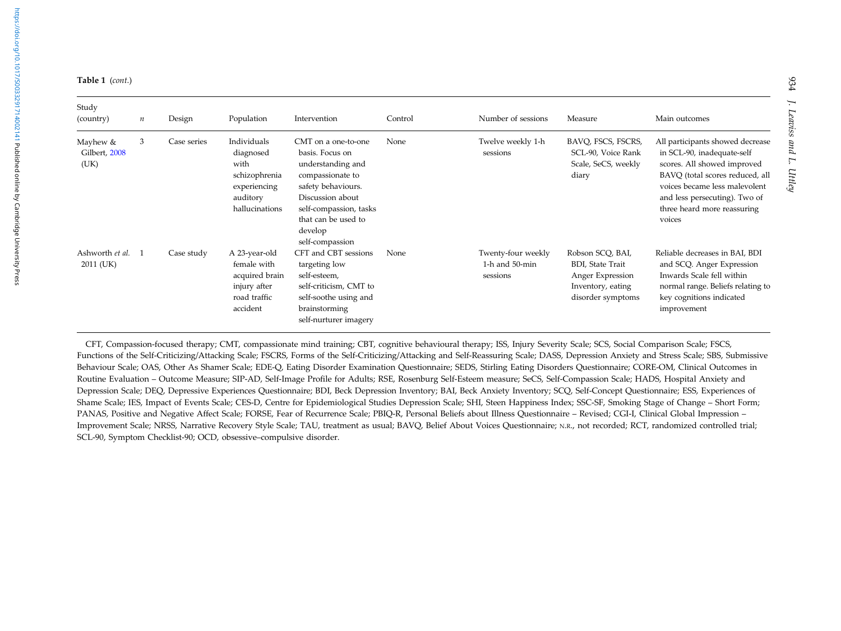| <b>Table 1</b> (cont.) |  |  |
|------------------------|--|--|
|------------------------|--|--|

| Study<br>(country)                | $\boldsymbol{n}$ | Design      | Population                                                                                      | Intervention                                                                                                                                                                                             | Control | Number of sessions                               | Measure                                                                                                    | Main outcomes                                                                                                                                                                                                                               |
|-----------------------------------|------------------|-------------|-------------------------------------------------------------------------------------------------|----------------------------------------------------------------------------------------------------------------------------------------------------------------------------------------------------------|---------|--------------------------------------------------|------------------------------------------------------------------------------------------------------------|---------------------------------------------------------------------------------------------------------------------------------------------------------------------------------------------------------------------------------------------|
| Mayhew &<br>Gilbert, 2008<br>(UK) | 3                | Case series | Individuals<br>diagnosed<br>with<br>schizophrenia<br>experiencing<br>auditory<br>hallucinations | CMT on a one-to-one<br>basis. Focus on<br>understanding and<br>compassionate to<br>safety behaviours.<br>Discussion about<br>self-compassion, tasks<br>that can be used to<br>develop<br>self-compassion | None    | Twelve weekly 1-h<br>sessions                    | BAVQ, FSCS, FSCRS,<br>SCL-90, Voice Rank<br>Scale, SeCS, weekly<br>diary                                   | All participants showed decrease<br>in SCL-90, inadequate-self<br>scores. All showed improved<br>BAVQ (total scores reduced, all<br>voices became less malevolent<br>and less persecuting). Two of<br>three heard more reassuring<br>voices |
| Ashworth et al.<br>2011 (UK)      |                  | Case study  | A 23-year-old<br>female with<br>acquired brain<br>injury after<br>road traffic<br>accident      | CFT and CBT sessions<br>targeting low<br>self-esteem,<br>self-criticism, CMT to<br>self-soothe using and<br>brainstorming<br>self-nurturer imagery                                                       | None    | Twenty-four weekly<br>1-h and 50-min<br>sessions | Robson SCQ, BAI,<br><b>BDI</b> , State Trait<br>Anger Expression<br>Inventory, eating<br>disorder symptoms | Reliable decreases in BAI, BDI<br>and SCQ. Anger Expression<br>Inwards Scale fell within<br>normal range. Beliefs relating to<br>key cognitions indicated<br>improvement                                                                    |

CFT, Compassion-focused therapy; CMT, compassionate mind training; CBT, cognitive behavioural therapy; ISS, Injury Severity Scale; SCS, Social Comparison Scale; FSCS, Functions of the Self-Criticizing/Attacking Scale; FSCRS, Forms of the Self-Criticizing/Attacking and Self-Reassuring Scale; DASS, Depression Anxiety and Stress Scale; SBS, Submissive Behaviour Scale; OAS, Other As Shamer Scale; EDE-Q, Eating Disorder Examination Questionnaire; SEDS, Stirling Eating Disorders Questionnaire; CORE-OM, Clinical Outcomes in Routine Evaluation – Outcome Measure; SIP-AD, Self-Image Profile for Adults; RSE, Rosenburg Self-Esteem measure; SeCS, Self-Compassion Scale; HADS, Hospital Anxiety and Depression Scale; DEQ, Depressive Experiences Questionnaire; BDI, Beck Depression Inventory; BAI, Beck Anxiety Inventory; SCQ, Self-Concept Questionnaire; ESS, Experiences of Shame Scale; IES, Impact of Events Scale; CES-D, Centre for Epidemiological Studies Depression Scale; SHI, Steen Happiness Index; SSC-SF, Smoking Stage of Change – Short Form; PANAS, Positive and Negative Affect Scale; FORSE, Fear of Recurrence Scale; PBIQ-R, Personal Beliefs about Illness Questionnaire - Revised; CGI-I, Clinical Global Impression -Improvement Scale; NRSS, Narrative Recovery Style Scale; TAU, treatment as usual; BAVQ, Belief About Voices Questionnaire; N.R., not recorded; RCT, randomized controlled trial; SCL-90, Symptom Checklist-90; OCD, obsessive–compulsive disorder.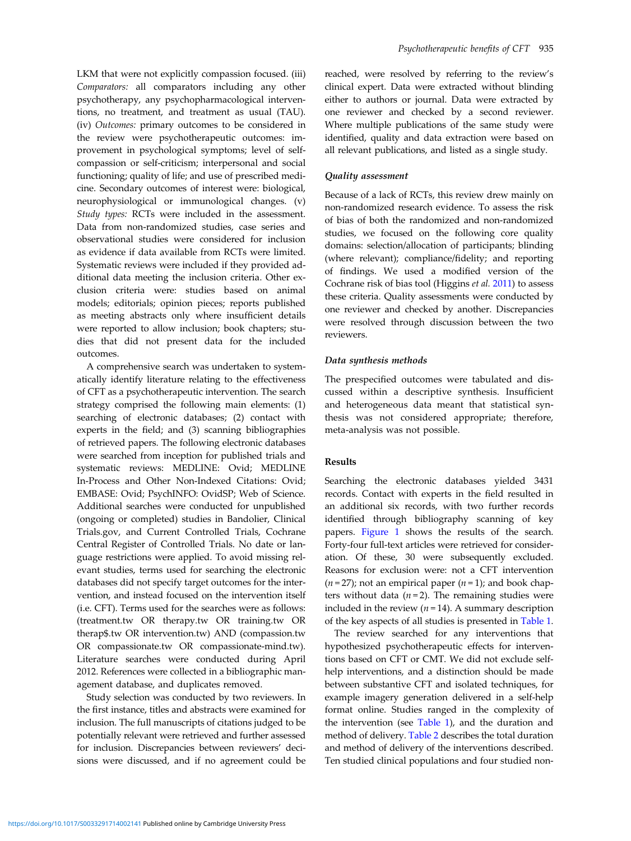LKM that were not explicitly compassion focused. (iii) Comparators: all comparators including any other psychotherapy, any psychopharmacological interventions, no treatment, and treatment as usual (TAU). (iv) Outcomes: primary outcomes to be considered in the review were psychotherapeutic outcomes: improvement in psychological symptoms; level of selfcompassion or self-criticism; interpersonal and social functioning; quality of life; and use of prescribed medicine. Secondary outcomes of interest were: biological, neurophysiological or immunological changes. (v) Study types: RCTs were included in the assessment. Data from non-randomized studies, case series and observational studies were considered for inclusion as evidence if data available from RCTs were limited. Systematic reviews were included if they provided additional data meeting the inclusion criteria. Other exclusion criteria were: studies based on animal models; editorials; opinion pieces; reports published as meeting abstracts only where insufficient details were reported to allow inclusion; book chapters; studies that did not present data for the included outcomes.

A comprehensive search was undertaken to systematically identify literature relating to the effectiveness of CFT as a psychotherapeutic intervention. The search strategy comprised the following main elements: (1) searching of electronic databases; (2) contact with experts in the field; and (3) scanning bibliographies of retrieved papers. The following electronic databases were searched from inception for published trials and systematic reviews: MEDLINE: Ovid; MEDLINE In-Process and Other Non-Indexed Citations: Ovid; EMBASE: Ovid; PsychINFO: OvidSP; Web of Science. Additional searches were conducted for unpublished (ongoing or completed) studies in Bandolier, Clinical Trials.gov, and Current Controlled Trials, Cochrane Central Register of Controlled Trials. No date or language restrictions were applied. To avoid missing relevant studies, terms used for searching the electronic databases did not specify target outcomes for the intervention, and instead focused on the intervention itself (i.e. CFT). Terms used for the searches were as follows: (treatment.tw OR therapy.tw OR training.tw OR therap\$.tw OR intervention.tw) AND (compassion.tw OR compassionate.tw OR compassionate-mind.tw). Literature searches were conducted during April 2012. References were collected in a bibliographic management database, and duplicates removed.

Study selection was conducted by two reviewers. In the first instance, titles and abstracts were examined for inclusion. The full manuscripts of citations judged to be potentially relevant were retrieved and further assessed for inclusion. Discrepancies between reviewers' decisions were discussed, and if no agreement could be

reached, were resolved by referring to the review's clinical expert. Data were extracted without blinding either to authors or journal. Data were extracted by one reviewer and checked by a second reviewer. Where multiple publications of the same study were identified, quality and data extraction were based on all relevant publications, and listed as a single study.

# Quality assessment

Because of a lack of RCTs, this review drew mainly on non-randomized research evidence. To assess the risk of bias of both the randomized and non-randomized studies, we focused on the following core quality domains: selection/allocation of participants; blinding (where relevant); compliance/fidelity; and reporting of findings. We used a modified version of the Cochrane risk of bias tool (Higgins et al. [2011](#page-17-0)) to assess these criteria. Quality assessments were conducted by one reviewer and checked by another. Discrepancies were resolved through discussion between the two reviewers.

## Data synthesis methods

The prespecified outcomes were tabulated and discussed within a descriptive synthesis. Insufficient and heterogeneous data meant that statistical synthesis was not considered appropriate; therefore, meta-analysis was not possible.

## Results

Searching the electronic databases yielded 3431 records. Contact with experts in the field resulted in an additional six records, with two further records identified through bibliography scanning of key papers. [Figure 1](#page-9-0) shows the results of the search. Forty-four full-text articles were retrieved for consideration. Of these, 30 were subsequently excluded. Reasons for exclusion were: not a CFT intervention  $(n=27)$ ; not an empirical paper  $(n=1)$ ; and book chapters without data ( $n = 2$ ). The remaining studies were included in the review ( $n = 14$ ). A summary description of the key aspects of all studies is presented in [Table 1](#page-3-0).

The review searched for any interventions that hypothesized psychotherapeutic effects for interventions based on CFT or CMT. We did not exclude selfhelp interventions, and a distinction should be made between substantive CFT and isolated techniques, for example imagery generation delivered in a self-help format online. Studies ranged in the complexity of the intervention (see [Table 1\)](#page-3-0), and the duration and method of delivery. [Table 2](#page-10-0) describes the total duration and method of delivery of the interventions described. Ten studied clinical populations and four studied non-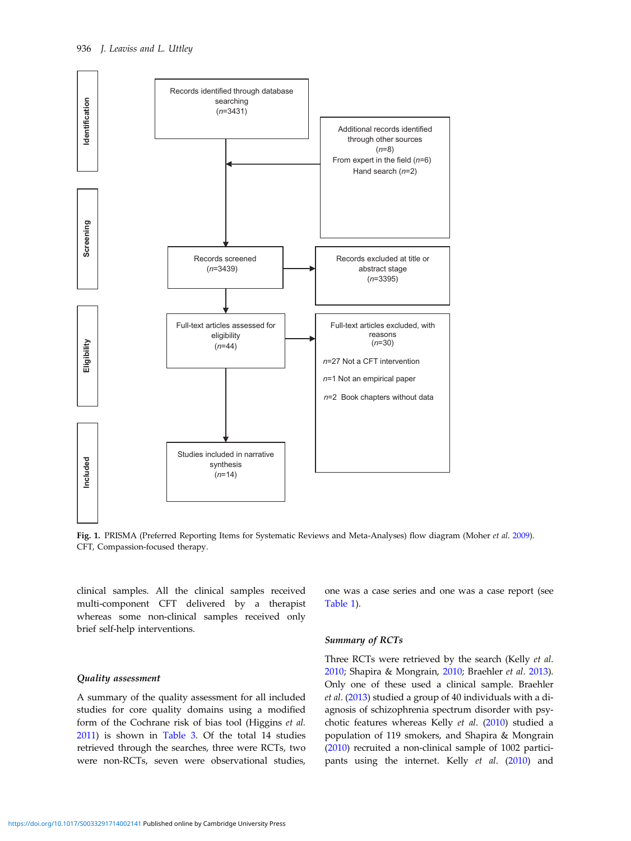<span id="page-9-0"></span>

Fig. 1. PRISMA (Preferred Reporting Items for Systematic Reviews and Meta-Analyses) flow diagram (Moher et al. [2009](#page-17-0)). CFT, Compassion-focused therapy.

clinical samples. All the clinical samples received multi-component CFT delivered by a therapist whereas some non-clinical samples received only brief self-help interventions.

## Quality assessment

A summary of the quality assessment for all included studies for core quality domains using a modified form of the Cochrane risk of bias tool (Higgins et al. [2011\)](#page-17-0) is shown in [Table 3.](#page-11-0) Of the total 14 studies retrieved through the searches, three were RCTs, two were non-RCTs, seven were observational studies,

one was a case series and one was a case report (see [Table 1\)](#page-3-0).

## Summary of RCTs

Three RCTs were retrieved by the search (Kelly et al. [2010;](#page-17-0) Shapira & Mongrain, [2010](#page-18-0); Braehler et al. [2013](#page-16-0)). Only one of these used a clinical sample. Braehler et al. ([2013\)](#page-16-0) studied a group of 40 individuals with a diagnosis of schizophrenia spectrum disorder with psychotic features whereas Kelly et al. ([2010\)](#page-17-0) studied a population of 119 smokers, and Shapira & Mongrain ([2010\)](#page-18-0) recruited a non-clinical sample of 1002 partici-pants using the internet. Kelly et al. [\(2010\)](#page-17-0) and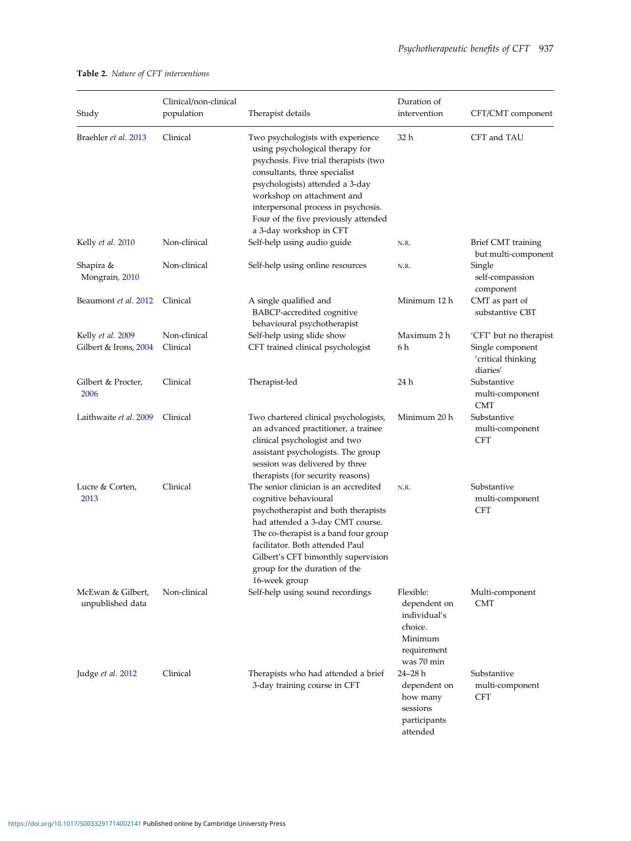<span id="page-10-0"></span>

| Table 2. Nature of CFT interventions |  |  |
|--------------------------------------|--|--|
|--------------------------------------|--|--|

| Study                                      | Clinical/non-clinical<br>population | Therapist details                                                                                                                                                                                                                                                                                                         | Duration of<br>intervention                                                                  | CFT/CMT component                                                            |
|--------------------------------------------|-------------------------------------|---------------------------------------------------------------------------------------------------------------------------------------------------------------------------------------------------------------------------------------------------------------------------------------------------------------------------|----------------------------------------------------------------------------------------------|------------------------------------------------------------------------------|
| Braehler et al. 2013                       | Clinical                            | Two psychologists with experience<br>using psychological therapy for<br>psychosis. Five trial therapists (two<br>consultants, three specialist<br>psychologists) attended a 3-day<br>workshop on attachment and<br>interpersonal process in psychosis.<br>Four of the five previously attended<br>a 3-day workshop in CFT | 32 h                                                                                         | CFT and TAU                                                                  |
| Kelly et al. 2010                          | Non-clinical                        | Self-help using audio guide                                                                                                                                                                                                                                                                                               | N.R.                                                                                         | Brief CMT training<br>but multi-component                                    |
| Shapira &<br>Mongrain, 2010                | Non-clinical                        | Self-help using online resources                                                                                                                                                                                                                                                                                          | N.R.                                                                                         | Single<br>self-compassion<br>component                                       |
| Beaumont et al. 2012                       | Clinical                            | A single qualified and<br>BABCP-accredited cognitive<br>behavioural psychotherapist                                                                                                                                                                                                                                       | Minimum 12 h                                                                                 | CMT as part of<br>substantive CBT                                            |
| Kelly et al. 2009<br>Gilbert & Irons, 2004 | Non-clinical<br>Clinical            | Self-help using slide show<br>CFT trained clinical psychologist                                                                                                                                                                                                                                                           | Maximum 2 h<br>6 h                                                                           | 'CFT' but no therapist<br>Single component<br>'critical thinking<br>diaries' |
| Gilbert & Procter,<br>2006                 | Clinical                            | Therapist-led                                                                                                                                                                                                                                                                                                             | 24 h                                                                                         | Substantive<br>multi-component<br><b>CMT</b>                                 |
| Laithwaite et al. 2009                     | Clinical                            | Two chartered clinical psychologists,<br>an advanced practitioner, a trainee<br>clinical psychologist and two<br>assistant psychologists. The group<br>session was delivered by three<br>therapists (for security reasons)                                                                                                | Minimum 20 h                                                                                 | Substantive<br>multi-component<br><b>CFT</b>                                 |
| Lucre & Corten,<br>2013                    | Clinical                            | The senior clinician is an accredited<br>cognitive behavioural<br>psychotherapist and both therapists<br>had attended a 3-day CMT course.<br>The co-therapist is a band four group<br>facilitator. Both attended Paul<br>Gilbert's CFT bimonthly supervision<br>group for the duration of the<br>16-week group            | N.R.                                                                                         | Substantive<br>multi-component<br><b>CFT</b>                                 |
| McEwan & Gilbert,<br>unpublished data      | Non-clinical                        | Self-help using sound recordings                                                                                                                                                                                                                                                                                          | Flexible:<br>dependent on<br>individual's<br>choice.<br>Minimum<br>requirement<br>was 70 min | Multi-component<br><b>CMT</b>                                                |
| Judge et al. 2012                          | Clinical                            | Therapists who had attended a brief<br>3-day training course in CFT                                                                                                                                                                                                                                                       | 24–28 h<br>dependent on<br>how many<br>sessions<br>participants<br>attended                  | Substantive<br>multi-component<br>CFT                                        |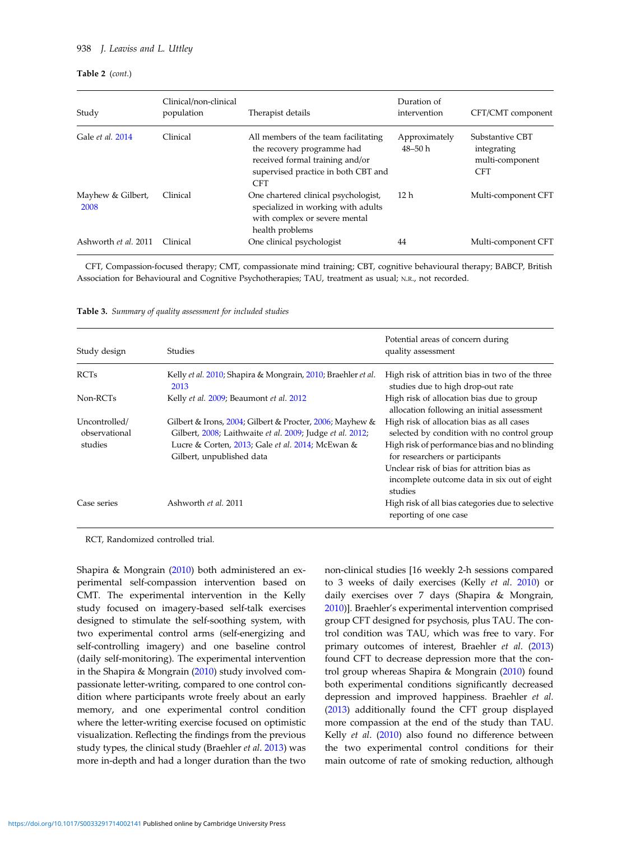#### <span id="page-11-0"></span>938 J. Leaviss and L. Uttley

#### Table 2 (cont.)

| Study                     | Clinical/non-clinical<br>population | Therapist details                                                                                                                                          | Duration of<br>intervention | CFT/CMT component                                               |
|---------------------------|-------------------------------------|------------------------------------------------------------------------------------------------------------------------------------------------------------|-----------------------------|-----------------------------------------------------------------|
| Gale et al. 2014          | Clinical                            | All members of the team facilitating<br>the recovery programme had<br>received formal training and/or<br>supervised practice in both CBT and<br><b>CFT</b> | Approximately<br>$48 - 50h$ | Substantive CBT<br>integrating<br>multi-component<br><b>CFT</b> |
| Mayhew & Gilbert,<br>2008 | Clinical                            | One chartered clinical psychologist,<br>specialized in working with adults<br>with complex or severe mental<br>health problems                             | 12 <sub>h</sub>             | Multi-component CFT                                             |
| Ashworth et al. 2011      | Clinical                            | One clinical psychologist                                                                                                                                  | 44                          | Multi-component CFT                                             |

CFT, Compassion-focused therapy; CMT, compassionate mind training; CBT, cognitive behavioural therapy; BABCP, British Association for Behavioural and Cognitive Psychotherapies; TAU, treatment as usual; N.R., not recorded.

| Study design                              | Studies                                                                                                                                                                                                | Potential areas of concern during<br>quality assessment                                                                                                                                                                                                                              |
|-------------------------------------------|--------------------------------------------------------------------------------------------------------------------------------------------------------------------------------------------------------|--------------------------------------------------------------------------------------------------------------------------------------------------------------------------------------------------------------------------------------------------------------------------------------|
| <b>RCTs</b>                               | Kelly et al. 2010; Shapira & Mongrain, 2010; Braehler et al.<br>2013                                                                                                                                   | High risk of attrition bias in two of the three<br>studies due to high drop-out rate                                                                                                                                                                                                 |
| Non-RCTs                                  | Kelly et al. 2009; Beaumont et al. 2012                                                                                                                                                                | High risk of allocation bias due to group<br>allocation following an initial assessment                                                                                                                                                                                              |
| Uncontrolled/<br>observational<br>studies | Gilbert & Irons, 2004; Gilbert & Procter, 2006; Mayhew &<br>Gilbert, 2008; Laithwaite et al. 2009; Judge et al. 2012;<br>Lucre & Corten, 2013; Gale et al. 2014; McEwan &<br>Gilbert, unpublished data | High risk of allocation bias as all cases<br>selected by condition with no control group<br>High risk of performance bias and no blinding<br>for researchers or participants<br>Unclear risk of bias for attrition bias as<br>incomplete outcome data in six out of eight<br>studies |
| Case series                               | Ashworth et al. 2011                                                                                                                                                                                   | High risk of all bias categories due to selective<br>reporting of one case                                                                                                                                                                                                           |

Table 3. Summary of quality assessment for included studies

RCT, Randomized controlled trial.

Shapira & Mongrain [\(2010](#page-18-0)) both administered an experimental self-compassion intervention based on CMT. The experimental intervention in the Kelly study focused on imagery-based self-talk exercises designed to stimulate the self-soothing system, with two experimental control arms (self-energizing and self-controlling imagery) and one baseline control (daily self-monitoring). The experimental intervention in the Shapira & Mongrain ([2010\)](#page-18-0) study involved compassionate letter-writing, compared to one control condition where participants wrote freely about an early memory, and one experimental control condition where the letter-writing exercise focused on optimistic visualization. Reflecting the findings from the previous study types, the clinical study (Braehler et al. [2013\)](#page-16-0) was more in-depth and had a longer duration than the two non-clinical studies [16 weekly 2-h sessions compared to 3 weeks of daily exercises (Kelly et al. [2010](#page-17-0)) or daily exercises over 7 days (Shapira & Mongrain, [2010\)](#page-18-0)]. Braehler's experimental intervention comprised group CFT designed for psychosis, plus TAU. The control condition was TAU, which was free to vary. For primary outcomes of interest, Braehler et al. ([2013\)](#page-16-0) found CFT to decrease depression more that the control group whereas Shapira & Mongrain ([2010\)](#page-18-0) found both experimental conditions significantly decreased depression and improved happiness. Braehler et al. ([2013\)](#page-16-0) additionally found the CFT group displayed more compassion at the end of the study than TAU. Kelly et al. [\(2010](#page-17-0)) also found no difference between the two experimental control conditions for their main outcome of rate of smoking reduction, although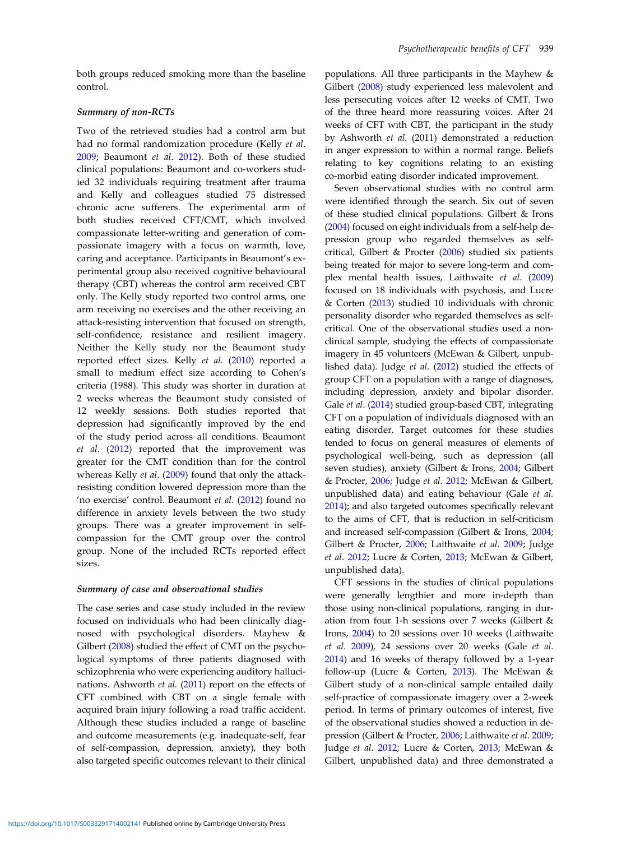both groups reduced smoking more than the baseline control.

# Summary of non-RCTs

Two of the retrieved studies had a control arm but had no formal randomization procedure (Kelly et al. [2009;](#page-17-0) Beaumont et al. [2012\)](#page-16-0). Both of these studied clinical populations: Beaumont and co-workers studied 32 individuals requiring treatment after trauma and Kelly and colleagues studied 75 distressed chronic acne sufferers. The experimental arm of both studies received CFT/CMT, which involved compassionate letter-writing and generation of compassionate imagery with a focus on warmth, love, caring and acceptance. Participants in Beaumont's experimental group also received cognitive behavioural therapy (CBT) whereas the control arm received CBT only. The Kelly study reported two control arms, one arm receiving no exercises and the other receiving an attack-resisting intervention that focused on strength, self-confidence, resistance and resilient imagery. Neither the Kelly study nor the Beaumont study reported effect sizes. Kelly et al. ([2010\)](#page-17-0) reported a small to medium effect size according to Cohen's criteria (1988). This study was shorter in duration at 2 weeks whereas the Beaumont study consisted of 12 weekly sessions. Both studies reported that depression had significantly improved by the end of the study period across all conditions. Beaumont et al. ([2012\)](#page-16-0) reported that the improvement was greater for the CMT condition than for the control whereas Kelly et al. [\(2009\)](#page-17-0) found that only the attackresisting condition lowered depression more than the 'no exercise' control. Beaumont et al. [\(2012](#page-16-0)) found no difference in anxiety levels between the two study groups. There was a greater improvement in selfcompassion for the CMT group over the control group. None of the included RCTs reported effect sizes.

## Summary of case and observational studies

The case series and case study included in the review focused on individuals who had been clinically diagnosed with psychological disorders. Mayhew & Gilbert [\(2008](#page-17-0)) studied the effect of CMT on the psychological symptoms of three patients diagnosed with schizophrenia who were experiencing auditory hallucinations. Ashworth et al. [\(2011](#page-16-0)) report on the effects of CFT combined with CBT on a single female with acquired brain injury following a road traffic accident. Although these studies included a range of baseline and outcome measurements (e.g. inadequate-self, fear of self-compassion, depression, anxiety), they both also targeted specific outcomes relevant to their clinical

populations. All three participants in the Mayhew & Gilbert ([2008\)](#page-17-0) study experienced less malevolent and less persecuting voices after 12 weeks of CMT. Two of the three heard more reassuring voices. After 24 weeks of CFT with CBT, the participant in the study by Ashworth et al. (2011) demonstrated a reduction in anger expression to within a normal range. Beliefs relating to key cognitions relating to an existing co-morbid eating disorder indicated improvement.

Seven observational studies with no control arm were identified through the search. Six out of seven of these studied clinical populations. Gilbert & Irons ([2004\)](#page-17-0) focused on eight individuals from a self-help depression group who regarded themselves as selfcritical, Gilbert & Procter [\(2006](#page-17-0)) studied six patients being treated for major to severe long-term and complex mental health issues, Laithwaite et al. ([2009\)](#page-17-0) focused on 18 individuals with psychosis, and Lucre & Corten [\(2013](#page-17-0)) studied 10 individuals with chronic personality disorder who regarded themselves as selfcritical. One of the observational studies used a nonclinical sample, studying the effects of compassionate imagery in 45 volunteers (McEwan & Gilbert, unpublished data). Judge et al. [\(2012](#page-17-0)) studied the effects of group CFT on a population with a range of diagnoses, including depression, anxiety and bipolar disorder. Gale et al. [\(2014](#page-16-0)) studied group-based CBT, integrating CFT on a population of individuals diagnosed with an eating disorder. Target outcomes for these studies tended to focus on general measures of elements of psychological well-being, such as depression (all seven studies), anxiety (Gilbert & Irons, [2004](#page-17-0); Gilbert & Procter, [2006](#page-17-0); Judge et al. [2012](#page-17-0); McEwan & Gilbert, unpublished data) and eating behaviour (Gale et al. [2014\)](#page-16-0); and also targeted outcomes specifically relevant to the aims of CFT, that is reduction in self-criticism and increased self-compassion (Gilbert & Irons, [2004](#page-17-0); Gilbert & Procter, [2006;](#page-17-0) Laithwaite et al. [2009;](#page-17-0) Judge et al. [2012](#page-17-0); Lucre & Corten, [2013;](#page-17-0) McEwan & Gilbert, unpublished data).

CFT sessions in the studies of clinical populations were generally lengthier and more in-depth than those using non-clinical populations, ranging in duration from four 1-h sessions over 7 weeks (Gilbert & Irons, [2004\)](#page-17-0) to 20 sessions over 10 weeks (Laithwaite et al. [2009\)](#page-17-0), 24 sessions over 20 weeks (Gale et al. [2014\)](#page-16-0) and 16 weeks of therapy followed by a 1-year follow-up (Lucre & Corten, [2013](#page-17-0)). The McEwan & Gilbert study of a non-clinical sample entailed daily self-practice of compassionate imagery over a 2-week period. In terms of primary outcomes of interest, five of the observational studies showed a reduction in depression (Gilbert & Procter, [2006](#page-17-0); Laithwaite et al. [2009](#page-17-0); Judge et al. [2012;](#page-17-0) Lucre & Corten, [2013](#page-17-0); McEwan & Gilbert, unpublished data) and three demonstrated a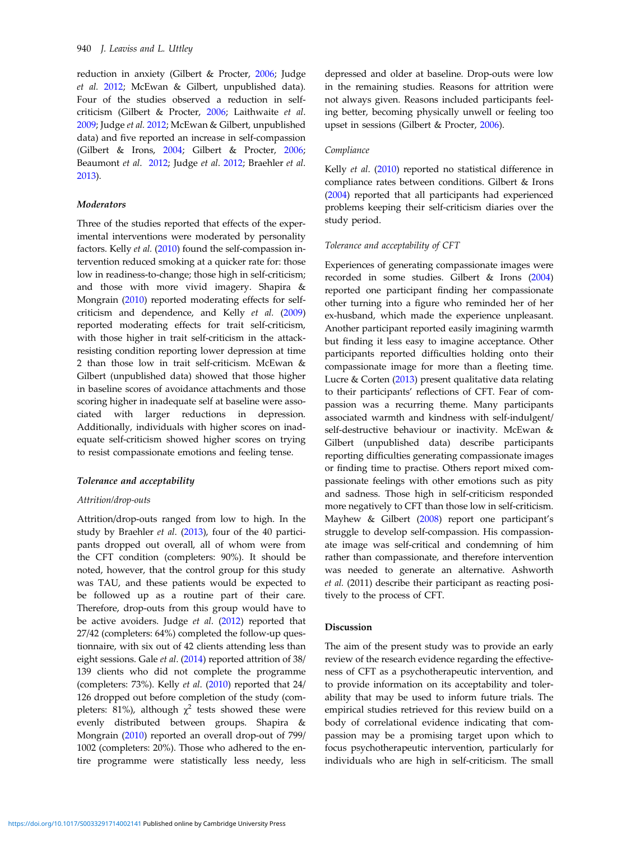reduction in anxiety (Gilbert & Procter, [2006](#page-17-0); Judge et al. [2012](#page-17-0); McEwan & Gilbert, unpublished data). Four of the studies observed a reduction in selfcriticism (Gilbert & Procter, [2006](#page-17-0); Laithwaite et al. [2009;](#page-17-0) Judge et al. [2012;](#page-17-0) McEwan & Gilbert, unpublished data) and five reported an increase in self-compassion (Gilbert & Irons, [2004](#page-17-0); Gilbert & Procter, [2006](#page-17-0); Beaumont et al. [2012](#page-16-0); Judge et al. [2012](#page-17-0); Braehler et al. [2013\)](#page-16-0).

## Moderators

Three of the studies reported that effects of the experimental interventions were moderated by personality factors. Kelly et al. ([2010\)](#page-17-0) found the self-compassion intervention reduced smoking at a quicker rate for: those low in readiness-to-change; those high in self-criticism; and those with more vivid imagery. Shapira & Mongrain [\(2010](#page-18-0)) reported moderating effects for selfcriticism and dependence, and Kelly et al. ([2009\)](#page-17-0) reported moderating effects for trait self-criticism, with those higher in trait self-criticism in the attackresisting condition reporting lower depression at time 2 than those low in trait self-criticism. McEwan & Gilbert (unpublished data) showed that those higher in baseline scores of avoidance attachments and those scoring higher in inadequate self at baseline were associated with larger reductions in depression. Additionally, individuals with higher scores on inadequate self-criticism showed higher scores on trying to resist compassionate emotions and feeling tense.

## Tolerance and acceptability

#### Attrition/drop-outs

Attrition/drop-outs ranged from low to high. In the study by Braehler et al. ([2013\)](#page-16-0), four of the 40 participants dropped out overall, all of whom were from the CFT condition (completers: 90%). It should be noted, however, that the control group for this study was TAU, and these patients would be expected to be followed up as a routine part of their care. Therefore, drop-outs from this group would have to be active avoiders. Judge et al. [\(2012](#page-17-0)) reported that 27/42 (completers: 64%) completed the follow-up questionnaire, with six out of 42 clients attending less than eight sessions. Gale et al. ([2014\)](#page-16-0) reported attrition of 38/ 139 clients who did not complete the programme (completers: 73%). Kelly et al. [\(2010](#page-17-0)) reported that 24/ 126 dropped out before completion of the study (completers: 81%), although  $\chi^2$  tests showed these were evenly distributed between groups. Shapira & Mongrain ([2010\)](#page-18-0) reported an overall drop-out of 799/ 1002 (completers: 20%). Those who adhered to the entire programme were statistically less needy, less depressed and older at baseline. Drop-outs were low in the remaining studies. Reasons for attrition were not always given. Reasons included participants feeling better, becoming physically unwell or feeling too upset in sessions (Gilbert & Procter, [2006](#page-17-0)).

## Compliance

Kelly et al. [\(2010](#page-17-0)) reported no statistical difference in compliance rates between conditions. Gilbert & Irons ([2004\)](#page-17-0) reported that all participants had experienced problems keeping their self-criticism diaries over the study period.

#### Tolerance and acceptability of CFT

Experiences of generating compassionate images were recorded in some studies. Gilbert & Irons ([2004\)](#page-17-0) reported one participant finding her compassionate other turning into a figure who reminded her of her ex-husband, which made the experience unpleasant. Another participant reported easily imagining warmth but finding it less easy to imagine acceptance. Other participants reported difficulties holding onto their compassionate image for more than a fleeting time. Lucre & Corten [\(2013](#page-17-0)) present qualitative data relating to their participants' reflections of CFT. Fear of compassion was a recurring theme. Many participants associated warmth and kindness with self-indulgent/ self-destructive behaviour or inactivity. McEwan & Gilbert (unpublished data) describe participants reporting difficulties generating compassionate images or finding time to practise. Others report mixed compassionate feelings with other emotions such as pity and sadness. Those high in self-criticism responded more negatively to CFT than those low in self-criticism. Mayhew & Gilbert [\(2008](#page-17-0)) report one participant's struggle to develop self-compassion. His compassionate image was self-critical and condemning of him rather than compassionate, and therefore intervention was needed to generate an alternative. Ashworth et al. (2011) describe their participant as reacting positively to the process of CFT.

#### Discussion

The aim of the present study was to provide an early review of the research evidence regarding the effectiveness of CFT as a psychotherapeutic intervention, and to provide information on its acceptability and tolerability that may be used to inform future trials. The empirical studies retrieved for this review build on a body of correlational evidence indicating that compassion may be a promising target upon which to focus psychotherapeutic intervention, particularly for individuals who are high in self-criticism. The small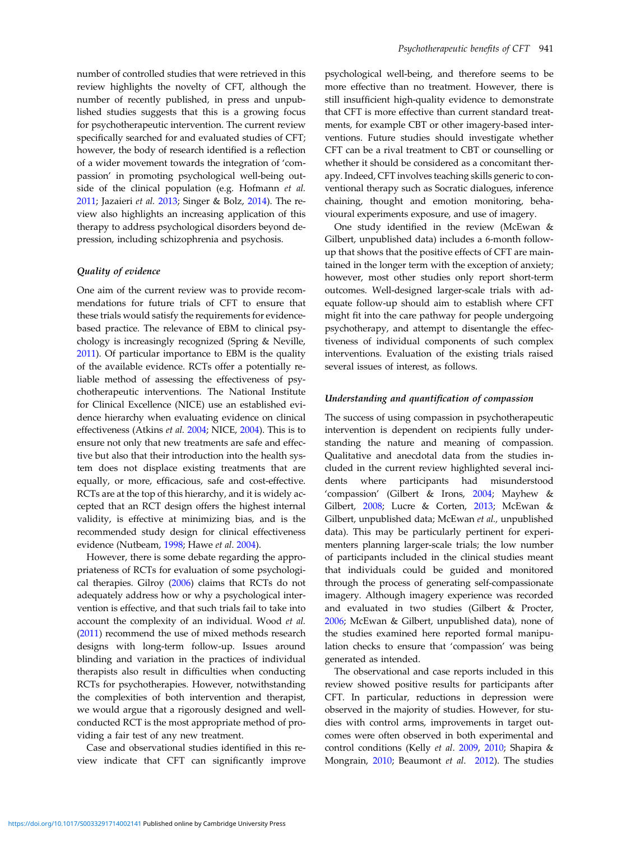number of controlled studies that were retrieved in this review highlights the novelty of CFT, although the number of recently published, in press and unpublished studies suggests that this is a growing focus for psychotherapeutic intervention. The current review specifically searched for and evaluated studies of CFT; however, the body of research identified is a reflection of a wider movement towards the integration of 'compassion' in promoting psychological well-being outside of the clinical population (e.g. Hofmann et al. [2011;](#page-17-0) Jazaieri et al. [2013;](#page-17-0) Singer & Bolz, [2014\)](#page-18-0). The review also highlights an increasing application of this therapy to address psychological disorders beyond depression, including schizophrenia and psychosis.

## Quality of evidence

One aim of the current review was to provide recommendations for future trials of CFT to ensure that these trials would satisfy the requirements for evidencebased practice. The relevance of EBM to clinical psychology is increasingly recognized (Spring & Neville, [2011\)](#page-18-0). Of particular importance to EBM is the quality of the available evidence. RCTs offer a potentially reliable method of assessing the effectiveness of psychotherapeutic interventions. The National Institute for Clinical Excellence (NICE) use an established evidence hierarchy when evaluating evidence on clinical effectiveness (Atkins et al. [2004;](#page-16-0) NICE, [2004\)](#page-17-0). This is to ensure not only that new treatments are safe and effective but also that their introduction into the health system does not displace existing treatments that are equally, or more, efficacious, safe and cost-effective. RCTs are at the top of this hierarchy, and it is widely accepted that an RCT design offers the highest internal validity, is effective at minimizing bias, and is the recommended study design for clinical effectiveness evidence (Nutbeam, [1998;](#page-17-0) Hawe et al. [2004](#page-17-0)).

However, there is some debate regarding the appropriateness of RCTs for evaluation of some psychological therapies. Gilroy [\(2006](#page-17-0)) claims that RCTs do not adequately address how or why a psychological intervention is effective, and that such trials fail to take into account the complexity of an individual. Wood et al. ([2011\)](#page-18-0) recommend the use of mixed methods research designs with long-term follow-up. Issues around blinding and variation in the practices of individual therapists also result in difficulties when conducting RCTs for psychotherapies. However, notwithstanding the complexities of both intervention and therapist, we would argue that a rigorously designed and wellconducted RCT is the most appropriate method of providing a fair test of any new treatment.

Case and observational studies identified in this review indicate that CFT can significantly improve

psychological well-being, and therefore seems to be more effective than no treatment. However, there is still insufficient high-quality evidence to demonstrate that CFT is more effective than current standard treatments, for example CBT or other imagery-based interventions. Future studies should investigate whether CFT can be a rival treatment to CBT or counselling or whether it should be considered as a concomitant therapy. Indeed, CFT involves teaching skills generic to conventional therapy such as Socratic dialogues, inference chaining, thought and emotion monitoring, behavioural experiments exposure, and use of imagery.

One study identified in the review (McEwan & Gilbert, unpublished data) includes a 6-month followup that shows that the positive effects of CFT are maintained in the longer term with the exception of anxiety; however, most other studies only report short-term outcomes. Well-designed larger-scale trials with adequate follow-up should aim to establish where CFT might fit into the care pathway for people undergoing psychotherapy, and attempt to disentangle the effectiveness of individual components of such complex interventions. Evaluation of the existing trials raised several issues of interest, as follows.

## Understanding and quantification of compassion

The success of using compassion in psychotherapeutic intervention is dependent on recipients fully understanding the nature and meaning of compassion. Qualitative and anecdotal data from the studies included in the current review highlighted several incidents where participants had misunderstood 'compassion' (Gilbert & Irons, [2004](#page-17-0); Mayhew & Gilbert, [2008;](#page-17-0) Lucre & Corten, [2013;](#page-17-0) McEwan & Gilbert, unpublished data; McEwan et al., unpublished data). This may be particularly pertinent for experimenters planning larger-scale trials; the low number of participants included in the clinical studies meant that individuals could be guided and monitored through the process of generating self-compassionate imagery. Although imagery experience was recorded and evaluated in two studies (Gilbert & Procter, [2006;](#page-17-0) McEwan & Gilbert, unpublished data), none of the studies examined here reported formal manipulation checks to ensure that 'compassion' was being generated as intended.

The observational and case reports included in this review showed positive results for participants after CFT. In particular, reductions in depression were observed in the majority of studies. However, for studies with control arms, improvements in target outcomes were often observed in both experimental and control conditions (Kelly et al. [2009](#page-17-0), [2010;](#page-17-0) Shapira & Mongrain, [2010](#page-18-0); Beaumont et al. [2012](#page-16-0)). The studies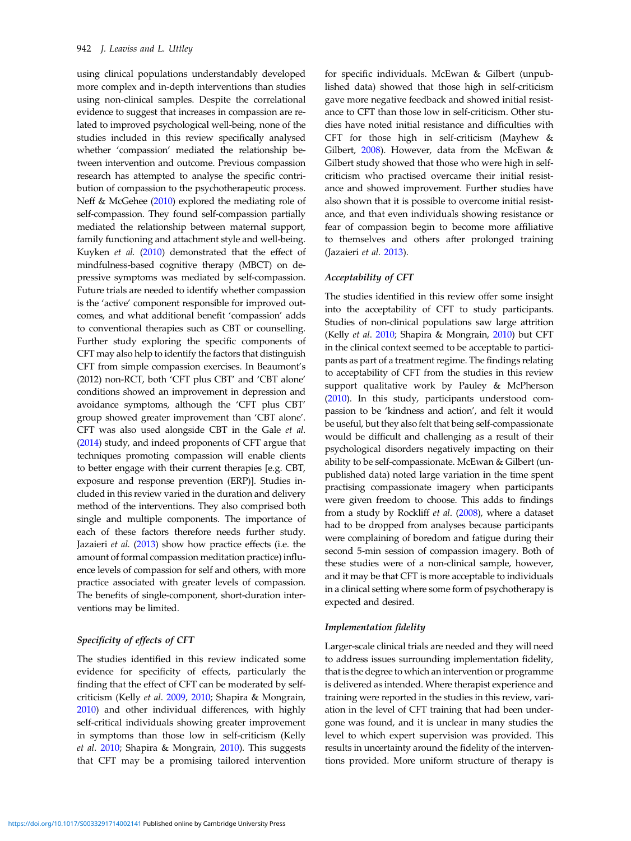using clinical populations understandably developed more complex and in-depth interventions than studies using non-clinical samples. Despite the correlational evidence to suggest that increases in compassion are related to improved psychological well-being, none of the studies included in this review specifically analysed whether 'compassion' mediated the relationship between intervention and outcome. Previous compassion research has attempted to analyse the specific contribution of compassion to the psychotherapeutic process. Neff & McGehee [\(2010\)](#page-17-0) explored the mediating role of self-compassion. They found self-compassion partially mediated the relationship between maternal support, family functioning and attachment style and well-being. Kuyken et al. [\(2010\)](#page-17-0) demonstrated that the effect of mindfulness-based cognitive therapy (MBCT) on depressive symptoms was mediated by self-compassion. Future trials are needed to identify whether compassion is the 'active' component responsible for improved outcomes, and what additional benefit 'compassion' adds to conventional therapies such as CBT or counselling. Further study exploring the specific components of CFT may also help to identify the factors that distinguish CFT from simple compassion exercises. In Beaumont's (2012) non-RCT, both 'CFT plus CBT' and 'CBT alone' conditions showed an improvement in depression and avoidance symptoms, although the 'CFT plus CBT' group showed greater improvement than 'CBT alone'. CFT was also used alongside CBT in the Gale et al. [\(2014](#page-16-0)) study, and indeed proponents of CFT argue that techniques promoting compassion will enable clients to better engage with their current therapies [e.g. CBT, exposure and response prevention (ERP)]. Studies included in this review varied in the duration and delivery method of the interventions. They also comprised both single and multiple components. The importance of each of these factors therefore needs further study. Jazaieri et al. [\(2013\)](#page-17-0) show how practice effects (i.e. the amount of formal compassion meditation practice) influence levels of compassion for self and others, with more practice associated with greater levels of compassion. The benefits of single-component, short-duration interventions may be limited.

### Specificity of effects of CFT

The studies identified in this review indicated some evidence for specificity of effects, particularly the finding that the effect of CFT can be moderated by selfcriticism (Kelly et al. [2009](#page-17-0), [2010;](#page-17-0) Shapira & Mongrain, [2010\)](#page-18-0) and other individual differences, with highly self-critical individuals showing greater improvement in symptoms than those low in self-criticism (Kelly et al. [2010;](#page-17-0) Shapira & Mongrain, [2010\)](#page-18-0). This suggests that CFT may be a promising tailored intervention for specific individuals. McEwan & Gilbert (unpublished data) showed that those high in self-criticism gave more negative feedback and showed initial resistance to CFT than those low in self-criticism. Other studies have noted initial resistance and difficulties with CFT for those high in self-criticism (Mayhew & Gilbert, [2008](#page-17-0)). However, data from the McEwan & Gilbert study showed that those who were high in selfcriticism who practised overcame their initial resistance and showed improvement. Further studies have also shown that it is possible to overcome initial resistance, and that even individuals showing resistance or fear of compassion begin to become more affiliative to themselves and others after prolonged training (Jazaieri et al. [2013\)](#page-17-0).

## Acceptability of CFT

The studies identified in this review offer some insight into the acceptability of CFT to study participants. Studies of non-clinical populations saw large attrition (Kelly et al. [2010](#page-17-0); Shapira & Mongrain, [2010](#page-18-0)) but CFT in the clinical context seemed to be acceptable to participants as part of a treatment regime. The findings relating to acceptability of CFT from the studies in this review support qualitative work by Pauley & McPherson [\(2010](#page-17-0)). In this study, participants understood compassion to be 'kindness and action', and felt it would be useful, but they also felt that being self-compassionate would be difficult and challenging as a result of their psychological disorders negatively impacting on their ability to be self-compassionate. McEwan & Gilbert (unpublished data) noted large variation in the time spent practising compassionate imagery when participants were given freedom to choose. This adds to findings from a study by Rockliff et al. [\(2008\)](#page-18-0), where a dataset had to be dropped from analyses because participants were complaining of boredom and fatigue during their second 5-min session of compassion imagery. Both of these studies were of a non-clinical sample, however, and it may be that CFT is more acceptable to individuals in a clinical setting where some form of psychotherapy is expected and desired.

#### Implementation fidelity

Larger-scale clinical trials are needed and they will need to address issues surrounding implementation fidelity, that is the degree to which an intervention or programme is delivered as intended. Where therapist experience and training were reported in the studies in this review, variation in the level of CFT training that had been undergone was found, and it is unclear in many studies the level to which expert supervision was provided. This results in uncertainty around the fidelity of the interventions provided. More uniform structure of therapy is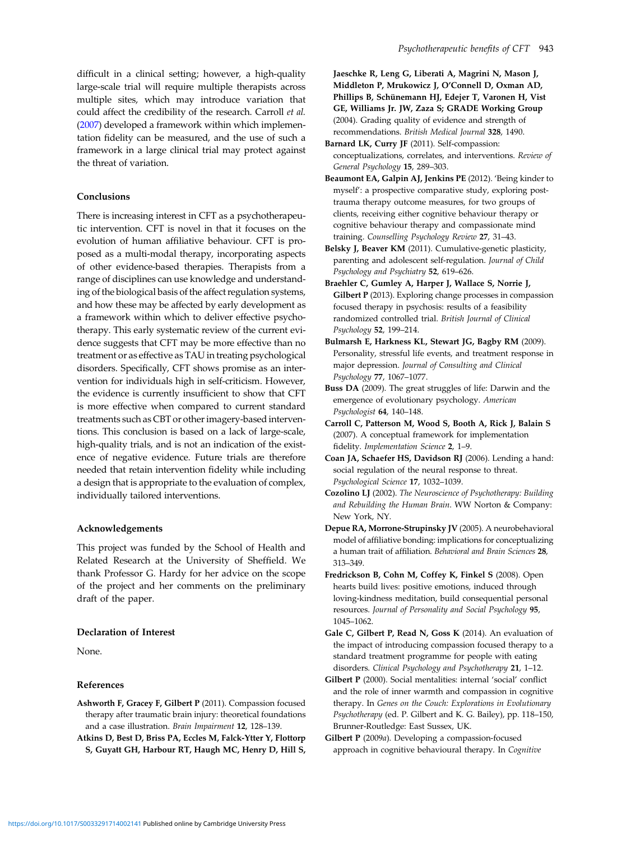<span id="page-16-0"></span>difficult in a clinical setting; however, a high-quality large-scale trial will require multiple therapists across multiple sites, which may introduce variation that could affect the credibility of the research. Carroll et al. (2007) developed a framework within which implementation fidelity can be measured, and the use of such a framework in a large clinical trial may protect against the threat of variation.

## Conclusions

There is increasing interest in CFT as a psychotherapeutic intervention. CFT is novel in that it focuses on the evolution of human affiliative behaviour. CFT is proposed as a multi-modal therapy, incorporating aspects of other evidence-based therapies. Therapists from a range of disciplines can use knowledge and understanding of the biological basis of the affect regulation systems, and how these may be affected by early development as a framework within which to deliver effective psychotherapy. This early systematic review of the current evidence suggests that CFT may be more effective than no treatment or as effective as TAU in treating psychological disorders. Specifically, CFT shows promise as an intervention for individuals high in self-criticism. However, the evidence is currently insufficient to show that CFT is more effective when compared to current standard treatments such as CBT or other imagery-based interventions. This conclusion is based on a lack of large-scale, high-quality trials, and is not an indication of the existence of negative evidence. Future trials are therefore needed that retain intervention fidelity while including a design that is appropriate to the evaluation of complex, individually tailored interventions.

#### Acknowledgements

This project was funded by the School of Health and Related Research at the University of Sheffield. We thank Professor G. Hardy for her advice on the scope of the project and her comments on the preliminary draft of the paper.

# Declaration of Interest

None.

## References

- Ashworth F, Gracey F, Gilbert P (2011). Compassion focused therapy after traumatic brain injury: theoretical foundations and a case illustration. Brain Impairment 12, 128–139.
- Atkins D, Best D, Briss PA, Eccles M, Falck-Ytter Y, Flottorp S, Guyatt GH, Harbour RT, Haugh MC, Henry D, Hill S,

Jaeschke R, Leng G, Liberati A, Magrini N, Mason J, Middleton P, Mrukowicz J, O'Connell D, Oxman AD, Phillips B, Schünemann HJ, Edejer T, Varonen H, Vist GE, Williams Jr. JW, Zaza S; GRADE Working Group (2004). Grading quality of evidence and strength of recommendations. British Medical Journal 328, 1490.

- Barnard LK, Curry JF (2011). Self-compassion: conceptualizations, correlates, and interventions. Review of General Psychology 15, 289–303.
- Beaumont EA, Galpin AJ, Jenkins PE (2012). 'Being kinder to myself': a prospective comparative study, exploring posttrauma therapy outcome measures, for two groups of clients, receiving either cognitive behaviour therapy or cognitive behaviour therapy and compassionate mind training. Counselling Psychology Review 27, 31–43.
- Belsky J, Beaver KM (2011). Cumulative-genetic plasticity, parenting and adolescent self-regulation. Journal of Child Psychology and Psychiatry 52, 619–626.
- Braehler C, Gumley A, Harper J, Wallace S, Norrie J, Gilbert P (2013). Exploring change processes in compassion focused therapy in psychosis: results of a feasibility randomized controlled trial. British Journal of Clinical Psychology 52, 199–214.
- Bulmarsh E, Harkness KL, Stewart JG, Bagby RM (2009). Personality, stressful life events, and treatment response in major depression. Journal of Consulting and Clinical Psychology 77, 1067–1077.
- Buss DA (2009). The great struggles of life: Darwin and the emergence of evolutionary psychology. American Psychologist 64, 140–148.
- Carroll C, Patterson M, Wood S, Booth A, Rick J, Balain S (2007). A conceptual framework for implementation fidelity. Implementation Science 2, 1–9.
- Coan JA, Schaefer HS, Davidson RJ (2006). Lending a hand: social regulation of the neural response to threat. Psychological Science 17, 1032–1039.
- Cozolino LJ (2002). The Neuroscience of Psychotherapy: Building and Rebuilding the Human Brain. WW Norton & Company: New York, NY.
- Depue RA, Morrone-Strupinsky JV (2005). A neurobehavioral model of affiliative bonding: implications for conceptualizing a human trait of affiliation. Behavioral and Brain Sciences 28, 313–349.
- Fredrickson B, Cohn M, Coffey K, Finkel S (2008). Open hearts build lives: positive emotions, induced through loving-kindness meditation, build consequential personal resources. Journal of Personality and Social Psychology 95, 1045–1062.
- Gale C, Gilbert P, Read N, Goss K (2014). An evaluation of the impact of introducing compassion focused therapy to a standard treatment programme for people with eating disorders. Clinical Psychology and Psychotherapy 21, 1–12.
- Gilbert P (2000). Social mentalities: internal 'social' conflict and the role of inner warmth and compassion in cognitive therapy. In Genes on the Couch: Explorations in Evolutionary Psychotherapy (ed. P. Gilbert and K. G. Bailey), pp. 118–150, Brunner-Routledge: East Sussex, UK.
- Gilbert P (2009a). Developing a compassion-focused approach in cognitive behavioural therapy. In Cognitive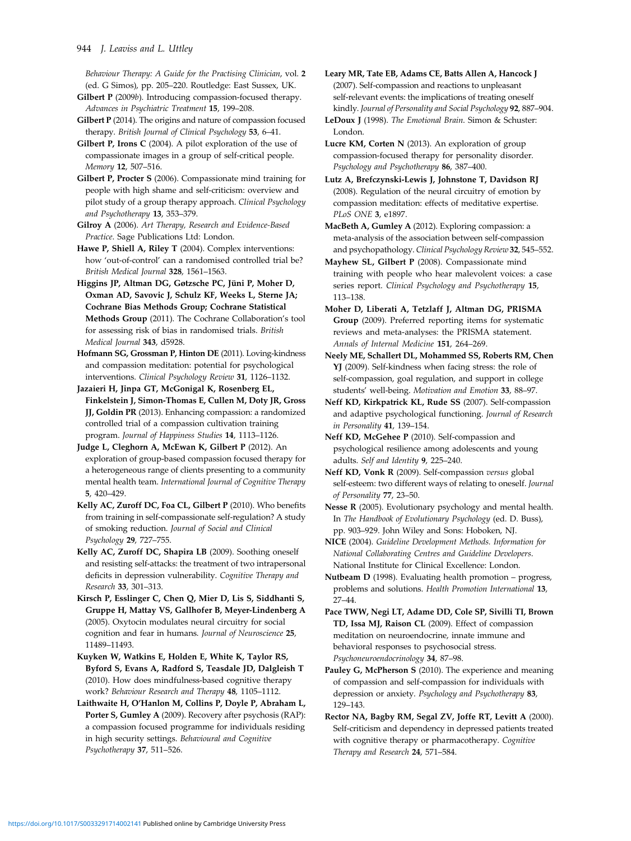<span id="page-17-0"></span>Behaviour Therapy: A Guide for the Practising Clinician, vol. 2 (ed. G Simos), pp. 205–220. Routledge: East Sussex, UK.

Gilbert P (2009b). Introducing compassion-focused therapy. Advances in Psychiatric Treatment 15, 199–208.

Gilbert P (2014). The origins and nature of compassion focused therapy. British Journal of Clinical Psychology 53, 6–41.

Gilbert P, Irons C (2004). A pilot exploration of the use of compassionate images in a group of self-critical people. Memory 12, 507–516.

Gilbert P, Procter S (2006). Compassionate mind training for people with high shame and self‐criticism: overview and pilot study of a group therapy approach. Clinical Psychology and Psychotherapy 13, 353–379.

Gilroy A (2006). Art Therapy, Research and Evidence-Based Practice. Sage Publications Ltd: London.

Hawe P, Shiell A, Riley T (2004). Complex interventions: how 'out-of-control' can a randomised controlled trial be? British Medical Journal 328, 1561–1563.

Higgins JP, Altman DG, Gøtzsche PC, Jüni P, Moher D, Oxman AD, Savovic J, Schulz KF, Weeks L, Sterne JA; Cochrane Bias Methods Group; Cochrane Statistical Methods Group (2011). The Cochrane Collaboration's tool for assessing risk of bias in randomised trials. British Medical Journal 343, d5928.

Hofmann SG, Grossman P, Hinton DE (2011). Loving-kindness and compassion meditation: potential for psychological interventions. Clinical Psychology Review 31, 1126–1132.

Jazaieri H, Jinpa GT, McGonigal K, Rosenberg EL, Finkelstein J, Simon-Thomas E, Cullen M, Doty JR, Gross JJ, Goldin PR (2013). Enhancing compassion: a randomized controlled trial of a compassion cultivation training program. Journal of Happiness Studies 14, 1113–1126.

Judge L, Cleghorn A, McEwan K, Gilbert P (2012). An exploration of group-based compassion focused therapy for a heterogeneous range of clients presenting to a community mental health team. International Journal of Cognitive Therapy 5, 420–429.

Kelly AC, Zuroff DC, Foa CL, Gilbert P (2010). Who benefits from training in self-compassionate self-regulation? A study of smoking reduction. Journal of Social and Clinical Psychology 29, 727–755.

Kelly AC, Zuroff DC, Shapira LB (2009). Soothing oneself and resisting self-attacks: the treatment of two intrapersonal deficits in depression vulnerability. Cognitive Therapy and Research 33, 301–313.

Kirsch P, Esslinger C, Chen Q, Mier D, Lis S, Siddhanti S, Gruppe H, Mattay VS, Gallhofer B, Meyer-Lindenberg A (2005). Oxytocin modulates neural circuitry for social cognition and fear in humans. Journal of Neuroscience 25, 11489–11493.

Kuyken W, Watkins E, Holden E, White K, Taylor RS, Byford S, Evans A, Radford S, Teasdale JD, Dalgleish T (2010). How does mindfulness-based cognitive therapy work? Behaviour Research and Therapy 48, 1105–1112.

Laithwaite H, O'Hanlon M, Collins P, Doyle P, Abraham L, Porter S, Gumley A (2009). Recovery after psychosis (RAP): a compassion focused programme for individuals residing in high security settings. Behavioural and Cognitive Psychotherapy 37, 511–526.

Leary MR, Tate EB, Adams CE, Batts Allen A, Hancock J (2007). Self-compassion and reactions to unpleasant self-relevant events: the implications of treating oneself kindly. Journal of Personality and Social Psychology 92, 887–904.

LeDoux J (1998). The Emotional Brain. Simon & Schuster: London.

Lucre KM, Corten N (2013). An exploration of group compassion-focused therapy for personality disorder. Psychology and Psychotherapy 86, 387–400.

Lutz A, Brefczynski-Lewis J, Johnstone T, Davidson RJ (2008). Regulation of the neural circuitry of emotion by compassion meditation: effects of meditative expertise. PLoS ONE 3, e1897.

MacBeth A, Gumley A (2012). Exploring compassion: a meta-analysis of the association between self-compassion and psychopathology. Clinical Psychology Review 32, 545–552.

Mayhew SL, Gilbert P (2008). Compassionate mind training with people who hear malevolent voices: a case series report. Clinical Psychology and Psychotherapy 15, 113–138.

Moher D, Liberati A, Tetzlaff J, Altman DG, PRISMA Group (2009). Preferred reporting items for systematic reviews and meta-analyses: the PRISMA statement. Annals of Internal Medicine 151, 264–269.

Neely ME, Schallert DL, Mohammed SS, Roberts RM, Chen YJ (2009). Self-kindness when facing stress: the role of self-compassion, goal regulation, and support in college students' well-being. Motivation and Emotion 33, 88–97.

Neff KD, Kirkpatrick KL, Rude SS (2007). Self-compassion and adaptive psychological functioning. Journal of Research in Personality 41, 139–154.

Neff KD, McGehee P (2010). Self-compassion and psychological resilience among adolescents and young adults. Self and Identity 9, 225–240.

Neff KD, Vonk R (2009). Self-compassion versus global self-esteem: two different ways of relating to oneself. Journal of Personality 77, 23–50.

Nesse R (2005). Evolutionary psychology and mental health. In The Handbook of Evolutionary Psychology (ed. D. Buss), pp. 903–929. John Wiley and Sons: Hoboken, NJ.

NICE (2004). Guideline Development Methods. Information for National Collaborating Centres and Guideline Developers. National Institute for Clinical Excellence: London.

Nutbeam D (1998). Evaluating health promotion – progress, problems and solutions. Health Promotion International 13, 27–44.

Pace TWW, Negi LT, Adame DD, Cole SP, Sivilli TI, Brown TD, Issa MJ, Raison CL (2009). Effect of compassion meditation on neuroendocrine, innate immune and behavioral responses to psychosocial stress. Psychoneuroendocrinology 34, 87–98.

Pauley G, McPherson S (2010). The experience and meaning of compassion and self-compassion for individuals with depression or anxiety. Psychology and Psychotherapy 83, 129–143.

Rector NA, Bagby RM, Segal ZV, Joffe RT, Levitt A (2000). Self-criticism and dependency in depressed patients treated with cognitive therapy or pharmacotherapy. Cognitive Therapy and Research 24, 571–584.